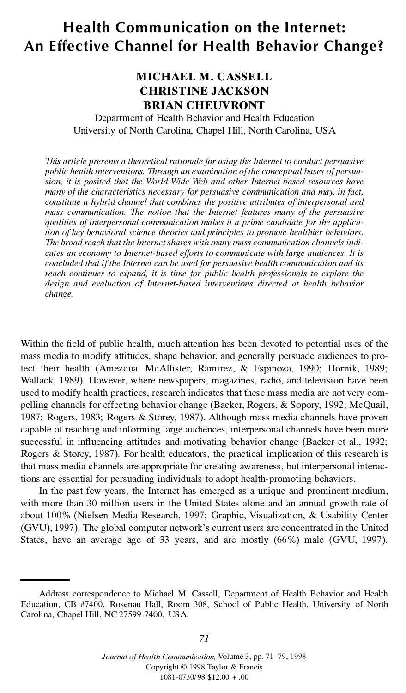# **Health Communication on the Internet: An Effective Channel for Health Behavior Change?**

## **MICHAEL M. CASSELL CHRISTINE JACKSON BRIAN CHEUVRONT**

Department of Health Behavior and Health Education University of North Carolina, Chapel Hill, North Carolina, USA

*This article presents a theoretical rationale for using the Internet to conduct persuasive public health interventions. Through an examination of the conceptual bases of persuasion, it is posited that the World Wide Web and other Internet-based resources have many of the characteristics necessary for persuasive communication and may, in fact, constitute a hybrid channel that combines the positive attributes of interpersonal and mass communication. The notion that the Internet features many of the persuasive qualities of interpersonal communication makes it a prime candidate for the application of key behavioral science theories and principles to promote healthier behaviors. The broad reach that the Internet shares with many mass communication channels indicates an economy to Internet-based efforts to communicate with large audiences. It is concluded that if the Internet can be used for persuasive health communication and its reach continues to expand, it is time for public health professionals to explore the design and evaluation of Internet-based interventions directed at health behavior change.*

Within the field of public health, much attention has been devoted to potential uses of the mass media to modify attitudes, shape behavior, and generally persuade audiences to protect their health (Amezcua, McAllister, Ramirez, & Espinoza, 1990; Hornik, 1989; Wallack, 1989). However, where newspapers, magazines, radio, and television have been used to modify health practices, research indicates that these mass media are not very compelling channels for effecting behavior change (Backer, Rogers, & Sopory, 1992; McQuail, 1987; Rogers, 1983; Rogers & Storey, 1987). Although mass media channels have proven capable of reaching and informing large audiences, interpersonal channels have been more successful in influencing attitudes and motivating behavior change (Backer et al., 1992; Rogers & Storey, 1987). For health educators, the practical implication of this research is that mass media channels are appropriate for creating awareness, but interpersonal interactions are essential for persuading individuals to adopt health-promoting behaviors.

In the past few years, the Internet has emerged as a unique and prominent medium, with more than 30 million users in the United States alone and an annual growth rate of about 100% (Nielsen Media Research, 1997; Graphic, Visualization, & Usability Center (GVU), 1997). The global computer network's current users are concentrated in the United States, have an average age of 33 years, and are mostly (66%) male (GVU, 1997).

*Journal of Health Communication,* Volume 3, pp. 71–79, 1998 Copyright © 1998 Taylor & Francis 1081-0730/ 98 \$12.00 + .00

Address correspondence to Michael M. Cassell, Department of Health Behavior and Health Education, CB #7400, Rosenau Hall, Room 308, School of Public Health, University of North Carolina, Chapel Hill, NC 27599-7400, USA.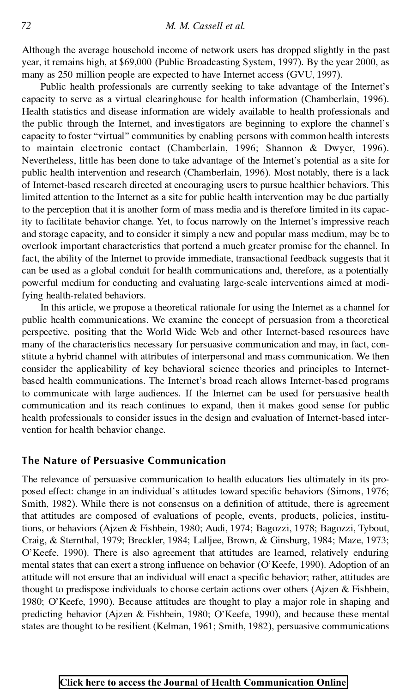Although the average household income of network users has dropped slightly in the past year, it remains high, at \$69,000 (Public Broadcasting System, 1997). By the year 2000, as many as 250 million people are expected to have Internet access (GVU, 1997).

Public health professionals are currently seeking to take advantage of the Internet's capacity to serve as a virtual clearinghouse for health information (Chamberlain, 1996). Health statistics and disease information are widely available to health professionals and the public through the Internet, and investigators are beginning to explore the channel's capacity to foster "virtual" communities by enabling persons with common health interests to maintain electronic contact (Chamberlain, 1996; Shannon & Dwyer, 1996). Nevertheless, little has been done to take advantage of the Internet's potential as a site for public health intervention and research (Chamberlain, 1996). Most notably, there is a lack of Internet-based research directed at encouraging users to pursue healthier behaviors. This limited attention to the Internet as a site for public health intervention may be due partially to the perception that it is another form of mass media and is therefore limited in its capacity to facilitate behavior change. Yet, to focus narrowly on the Internet's impressive reach and storage capacity, and to consider it simply a new and popular mass medium, may be to overlook important characteristics that portend a much greater promise for the channel. In fact, the ability of the Internet to provide immediate, transactional feedback suggests that it can be used as a global conduit for health communications and, therefore, as a potentially powerful medium for conducting and evaluating large-scale interventions aimed at modifying health-related behaviors.

In this article, we propose a theoretical rationale for using the Internet as a channel for public health communications. We examine the concept of persuasion from a theoretical perspective, positing that the World Wide Web and other Internet-based resources have many of the characteristics necessary for persuasive communication and may, in fact, constitute a hybrid channel with attributes of interpersonal and mass communication. We then consider the applicability of key behavioral science theories and principles to Internet based health communications. The Internet's broad reach allows Internet-based programs to communicate with large audiences. If the Internet can be used for persuasive health communication and its reach continues to expand, then it makes good sense for public health professionals to consider issues in the design and evaluation of Internet-based intervention for health behavior change.

#### **The Nature of Persuasive Communication**

The relevance of persuasive communication to health educators lies ultimately in its proposed effect: change in an individual's attitudes toward specific behaviors (Simons, 1976; Smith, 1982). While there is not consensus on a definition of attitude, there is agreement that attitudes are composed of evaluations of people, events, products, policies, institutions, or behaviors (Ajzen & Fishbein, 1980; Audi, 1974; Bagozzi, 1978; Bagozzi, Tybout, Craig, & Sternthal, 1979; Breckler, 1984; Lalljee, Brown, & Ginsburg, 1984; Maze, 1973; O'Keefe, 1990). There is also agreement that attitudes are learned, relatively enduring mental states that can exert a strong influence on behavior (O'Keefe, 1990). Adoption of an attitude will not ensure that an individual will enact a specific behavior; rather, attitudes are thought to predispose individuals to choose certain actions over others (Ajzen & Fishbein, 1980; O'Keefe, 1990). Because attitudes are thought to play a major role in shaping and predicting behavior (Ajzen & Fishbein, 1980; O'Keefe, 1990), and because these mental states are thought to be resilient (Kelman, 1961; Smith, 1982), persuasive communications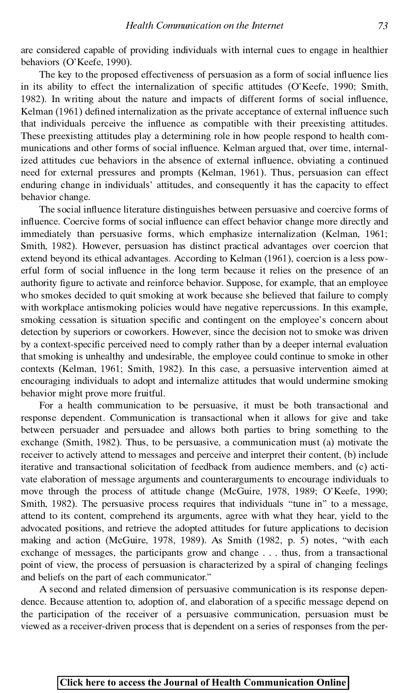are considered capable of providing individuals with internal cues to engage in healthier behaviors (O'Keefe, 1990).

The key to the proposed effectiveness of persuasion as a form of social influence lies in its ability to effect the internalization of specific attitudes (O'Keefe, 1990; Smith, 1982). In writing about the nature and impacts of different forms of social influence, Kelman (1961) defined internalization as the private acceptance of external influence such that individuals perceive the influence as compatible with their preexisting attitudes. These preexisting attitudes play a determining role in how people respond to health communications and other forms of social influence. Kelman argued that, over time, internalized attitudes cue behaviors in the absence of external influence, obviating a continued need for external pressures and prompts (Kelman, 1961). Thus, persuasion can effect enduring change in individuals' attitudes, and consequently it has the capacity to effect behavior change.

The social influence literature distinguishes between persuasive and coercive forms of influence. Coercive forms of social influence can effect behavior change more directly and immediately than persuasive forms, which emphasize internalization (Kelman, 1961; Smith, 1982). However, persuasion has distinct practical advantages over coercion that extend beyond its ethical advantages. According to Kelman (1961), coercion is a less powerful form of social influence in the long term because it relies on the presence of an authority figure to activate and reinforce behavior. Suppose, for example, that an employee who smokes decided to quit smoking at work because she believed that failure to comply with workplace antismoking policies would have negative repercussions. In this example, smoking cessation is situation specific and contingent on the employee's concern about detection by superiors or coworkers. However, since the decision not to smoke was driven by a context-specific perceived need to comply rather than by a deeper internal evaluation that smoking is unhealthy and undesirable, the employee could continue to smoke in other contexts (Kelman, 1961; Smith, 1982). In this case, a persuasive intervention aimed at encouraging individuals to adopt and internalize attitudes that would undermine smoking behavior might prove more fruitful.

For a health communication to be persuasive, it must be both transactional and response dependent. Communication is transactional when it allows for give and take between persuader and persuadee and allows both parties to bring something to the exchange (Smith, 1982). Thus, to be persuasive, a communication must (a) motivate the receiver to actively attend to messages and perceive and interpret their content, (b) include iterative and transactional solicitation of feedback from audience members, and (c) activate elaboration of message arguments and counterarguments to encourage individuals to move through the process of attitude change (McGuire, 1978, 1989; O'Keefe, 1990; Smith, 1982). The persuasive process requires that individuals "tune in" to a message, attend to its content, comprehend its arguments, agree with what they hear, yield to the advocated positions, and retrieve the adopted attitudes for future applications to decision making and action (McGuire, 1978, 1989). As Smith (1982, p. 5) notes, "with each exchange of messages, the participants grow and change . . . thus, from a transactional point of view, the process of persuasion is characterized by a spiral of changing feelings and beliefs on the part of each communicator."

A second and related dimension of persuasive communication is its response dependence. Because attention to, adoption of, and elaboration of a specific message depend on the participation of the receiver of a persuasive communication, persuasion must be viewed as a receiver-driven process that is dependent on a series of responses from the per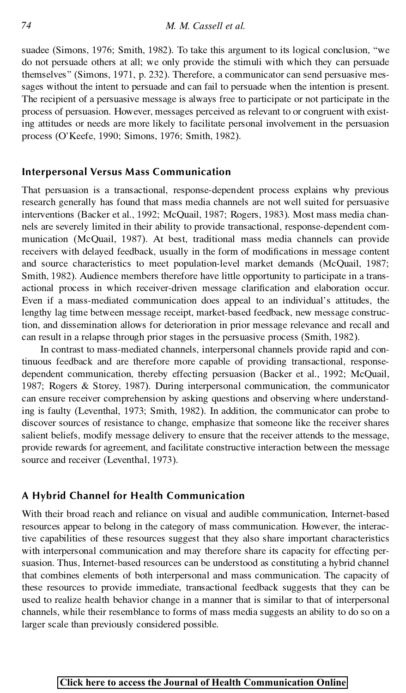suadee (Simons, 1976; Smith, 1982). To take this argument to its logical conclusion, "we do not persuade others at all; we only provide the stimuli with which they can persuade themselves" (Simons, 1971, p. 232). Therefore, a communicator can send persuasive messages without the intent to persuade and can fail to persuade when the intention is present. The recipient of a persuasive message is always free to participate or not participate in the process of persuasion. However, messages perceived as relevant to or congruent with existing attitudes or needs are more likely to facilitate personal involvement in the persuasion process (O'Keefe, 1990; Simons, 1976; Smith, 1982).

#### **Interpersonal Versus Mass Communication**

That persuasion is a transactional, response-dependent process explains why previous research generally has found that mass media channels are not well suited for persuasive interventions (Backer et al., 1992; McQuail, 1987; Rogers, 1983). Most mass media channels are severely limited in their ability to provide transactional, response-dependent communication (McQuail, 1987). At best, traditional mass media channels can provide receivers with delayed feedback, usually in the form of modifications in message content and source characteristics to meet population-level market demands (McQuail, 1987; Smith, 1982). Audience members therefore have little opportunity to participate in a transactional process in which receiver-driven message clarification and elaboration occur. Even if a mass-mediated communication does appeal to an individual's attitudes, the lengthy lag time between message receipt, market-based feedback, new message construction, and dissemination allows for deterioration in prior message relevance and recall and can result in a relapse through prior stages in the persuasive process (Smith, 1982).

In contrast to mass-mediated channels, interpersonal channels provide rapid and continuous feedback and are therefore more capable of providing transactional, responsedependent communication, thereby effecting persuasion (Backer et al., 1992; McQuail, 1987; Rogers & Storey, 1987). During interpersonal communication, the communicator can ensure receiver comprehension by asking questions and observing where understanding is faulty (Leventhal, 1973; Smith, 1982). In addition, the communicator can probe to discover sources of resistance to change, emphasize that someone like the receiver shares salient beliefs, modify message delivery to ensure that the receiver attends to the message, provide rewards for agreement, and facilitate constructive interaction between the message source and receiver (Leventhal, 1973).

## **A Hybrid Channel for Health Communication**

With their broad reach and reliance on visual and audible communication, Internet-based resources appear to belong in the category of mass communication. However, the interactive capabilities of these resources suggest that they also share important characteristics with interpersonal communication and may therefore share its capacity for effecting persuasion. Thus, Internet-based resources can be understood as constituting a hybrid channel that combines elements of both interpersonal and mass communication. The capacity of these resources to provide immediate, transactional feedback suggests that they can be used to realize health behavior change in a manner that is similar to that of interpersonal channels, while their resemblance to forms of mass media suggests an ability to do so on a larger scale than previously considered possible.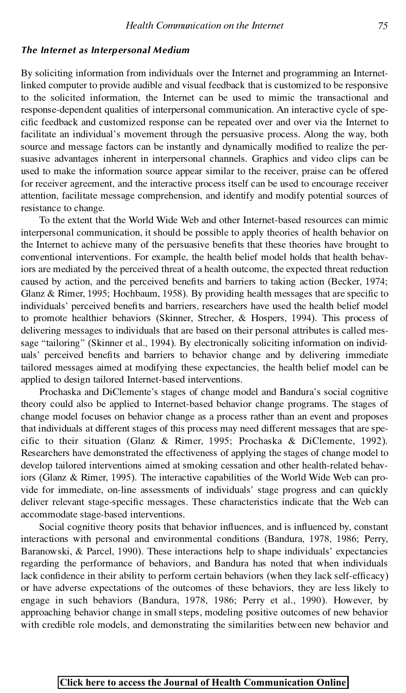#### *The Internet as Interpersonal Medium*

By soliciting information from individuals over the Internet and programming an Internetlinked computer to provide audible and visual feedback that is customized to be responsive to the solicited information, the Internet can be used to mimic the transactional and response-dependent qualities of interpersonal communication. An interactive cycle of specific feedback and customized response can be repeated over and over via the Internet to facilitate an individual's movement through the persuasive process. Along the way, both source and message factors can be instantly and dynamically modified to realize the persuasive advantages inherent in interpersonal channels. Graphics and video clips can be used to make the information source appear similar to the receiver, praise can be offered for receiver agreement, and the interactive process itself can be used to encourage receiver attention, facilitate message comprehension, and identify and modify potential sources of resistance to change.

To the extent that the World Wide Web and other Internet-based resources can mimic interpersonal communication, it should be possible to apply theories of health behavior on the Internet to achieve many of the persuasive benefits that these theories have brought to conventional interventions. For example, the health belief model holds that health behaviors are mediated by the perceived threat of a health outcome, the expected threat reduction caused by action, and the perceived benefits and barriers to taking action (Becker, 1974; Glanz  $&$  Rimer, 1995; Hochbaum, 1958). By providing health messages that are specific to individuals' perceived benefits and barriers, researchers have used the health belief model to promote healthier behaviors (Skinner, Strecher, & Hospers, 1994). This process of delivering messages to individuals that are based on their personal attributes is called message "tailoring" (Skinner et al., 1994). By electronically soliciting information on individuals' perceived benefits and barriers to behavior change and by delivering immediate tailored messages aimed at modifying these expectancies, the health belief model can be applied to design tailored Internet-based interventions.

Prochaska and DiClemente's stages of change model and Bandura's social cognitive theory could also be applied to Internet-based behavior change programs. The stages of change model focuses on behavior change as a process rather than an event and proposes that individuals at different stages of this process may need different messages that are specific to their situation (Glanz & Rimer, 1995; Prochaska & DiClemente, 1992). Researchers have demonstrated the effectiveness of applying the stages of change model to develop tailored interventions aimed at smoking cessation and other health-related behaviors (Glanz & Rimer, 1995). The interactive capabilities of the World Wide Web can provide for immediate, on-line assessments of individuals' stage progress and can quickly deliver relevant stage-specific messages. These characteristics indicate that the Web can accommodate stage-based interventions.

Social cognitive theory posits that behavior influences, and is influenced by, constant interactions with personal and environmental conditions (Bandura, 1978, 1986; Perry, Baranowski, & Parcel, 1990). These interactions help to shape individuals' expectancies regarding the performance of behaviors, and Bandura has noted that when individuals lack confidence in their ability to perform certain behaviors (when they lack self-efficacy) or have adverse expectations of the outcomes of these behaviors, they are less likely to engage in such behaviors (Bandura, 1978, 1986; Perry et al., 1990). However, by approaching behavior change in small steps, modeling positive outcomes of new behavior with credible role models, and demonstrating the similarities between new behavior and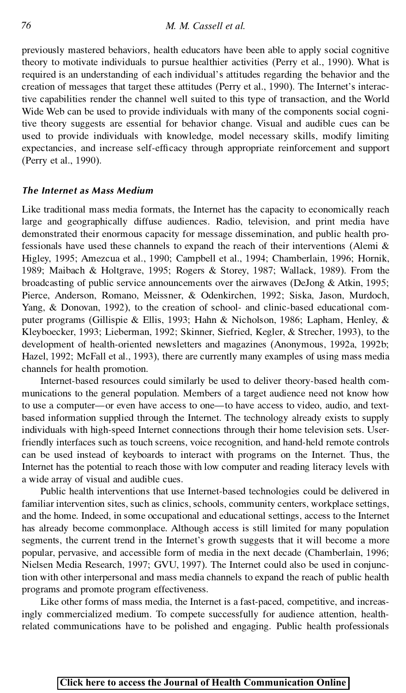previously mastered behaviors, health educators have been able to apply social cognitive theory to motivate individuals to pursue healthier activities (Perry et al., 1990). What is required is an understanding of each individual's attitudes regarding the behavior and the creation of messages that target these attitudes (Perry et al., 1990). The Internet's interactive capabilities render the channel well suited to this type of transaction, and the World Wide Web can be used to provide individuals with many of the components social cognitive theory suggests are essential for behavior change. Visual and audible cues can be used to provide individuals with knowledge, model necessary skills, modify limiting expectancies, and increase self-efficacy through appropriate reinforcement and support (Perry et al., 1990).

#### *The Internet as Mass Medium*

Like traditional mass media formats, the Internet has the capacity to economically reach large and geographically diffuse audiences. Radio, television, and print media have demonstrated their enormous capacity for message dissemination, and public health professionals have used these channels to expand the reach of their interventions (Alemi & Higley, 1995; Amezcua et al., 1990; Campbell et al., 1994; Chamberlain, 1996; Hornik, 1989; Maibach & Holtgrave, 1995; Rogers & Storey, 1987; Wallack, 1989). From the broadcasting of public service announcements over the airwaves (DeJong & Atkin, 1995; Pierce, Anderson, Romano, Meissner, & Odenkirchen, 1992; Siska, Jason, Murdoch, Yang, & Donovan, 1992), to the creation of school- and clinic-based educational computer programs (Gillispie & Ellis, 1993; Hahn & Nicholson, 1986; Lapham, Henley, & Kleyboecker, 1993; Lieberman, 1992; Skinner, Siefried, Kegler, & Strecher, 1993), to the development of health-oriented newsletters and magazines (Anonymous, 1992a, 1992b; Hazel, 1992; McFall et al., 1993), there are currently many examples of using mass media channels for health promotion.

Internet-based resources could similarly be used to deliver theory-based health communications to the general population. Members of a target audience need not know how to use a computer—or even have access to one—to have access to video, audio, and textbased information supplied through the Internet. The technology already exists to supply individuals with high-speed Internet connections through their home television sets. Userfriendly interfaces such as touch screens, voice recognition, and hand-held remote controls can be used instead of keyboards to interact with programs on the Internet. Thus, the Internet has the potential to reach those with low computer and reading literacy levels with a wide array of visual and audible cues.

Public health interventions that use Internet-based technologies could be delivered in familiar intervention sites, such as clinics, schools, community centers, workplace settings, and the home. Indeed, in some occupational and educational settings, access to the Internet has already become commonplace. Although access is still limited for many population segments, the current trend in the Internet's growth suggests that it will become a more popular, pervasive, and accessible form of media in the next decade (Chamberlain, 1996; Nielsen Media Research, 1997; GVU, 1997). The Internet could also be used in conjunction with other interpersonal and mass media channels to expand the reach of public health programs and promote program effectiveness.

Like other forms of mass media, the Internet is a fast-paced, competitive, and increasingly commercialized medium. To compete successfully for audience attention, healthrelated communications have to be polished and engaging. Public health professionals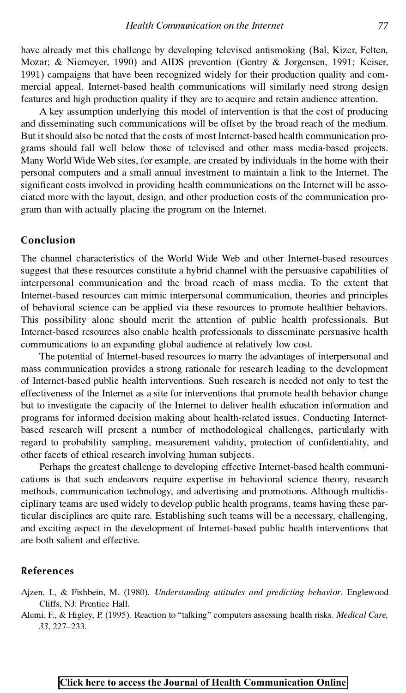have already met this challenge by developing televised antismoking (Bal, Kizer, Felten, Mozar; & Niemeyer, 1990) and AIDS prevention (Gentry & Jorgensen, 1991; Keiser, 1991) campaigns that have been recognized widely for their production quality and commercial appeal. Internet-based health communications will similarly need strong design features and high production quality if they are to acquire and retain audience attention.

A key assumption underlying this model of intervention is that the cost of producing and disseminating such communications will be offset by the broad reach of the medium. But it should also be noted that the costs of most Internet-based health communication programs should fall well below those of televised and other mass media-based projects. Many World Wide Web sites, for example, are created by individuals in the home with their personal computers and a small annual investment to maintain a link to the Internet. The significant costs involved in providing health communications on the Internet will be associated more with the layout, design, and other production costs of the communication program than with actually placing the program on the Internet.

### **Conclusion**

The channel characteristics of the World Wide Web and other Internet-based resources suggest that these resources constitute a hybrid channel with the persuasive capabilities of interpersonal communication and the broad reach of mass media. To the extent that Internet-based resources can mimic interpersonal communication, theories and principles of behavioral science can be applied via these resources to promote healthier behaviors. This possibility alone should merit the attention of public health professionals. But Internet-based resources also enable health professionals to disseminate persuasive health communications to an expanding global audience at relatively low cost.

The potential of Internet-based resources to marry the advantages of interpersonal and mass communication provides a strong rationale for research leading to the development of Internet-based public health interventions. Such research is needed not only to test the effectiveness of the Internet as a site for interventions that promote health behavior change but to investigate the capacity of the Internet to deliver health education information and programs for informed decision making about health-related issues. Conducting Internetbased research will present a number of methodological challenges, particularly with regard to probability sampling, measurement validity, protection of condentiality, and other facets of ethical research involving human subjects.

Perhaps the greatest challenge to developing effective Internet-based health communications is that such endeavors require expertise in behavioral science theory, research methods, communication technology, and advertising and promotions. Although multidisciplinary teams are used widely to develop public health programs, teams having these particular disciplines are quite rare. Establishing such teams will be a necessary, challenging, and exciting aspect in the development of Internet-based public health interventions that are both salient and effective.

#### **References**

- Ajzen, I., & Fishbein, M. (1980). *Understanding attitudes and predicting behavior*. Englewood Cliffs, NJ: Prentice Hall.
- Alemi, F., & Higley, P. (1995). Reaction to "talking" computers assessing health risks. *Medical Care, 33*, 227–233.

#### **[Click here to access the Journal of Health Communication Online](http://taylorandfrancis.metapress.com/link.asp?id=100673 )**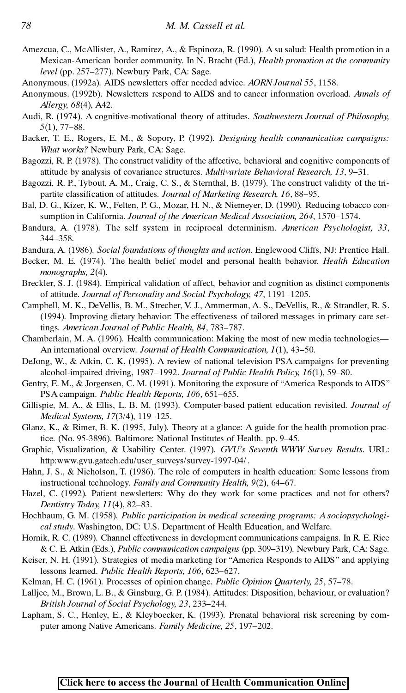- Amezcua, C., McAllister, A., Ramirez, A., & Espinoza, R. (1990). A su salud: Health promotion in a Mexican-American border community. In N. Bracht (Ed.), *Health promotion at the community level* (pp. 257–277). Newbury Park, CA: Sage.
- Anonymous. (1992a). AIDS newsletters offer needed advice. *AORN Journal 55*, 1158.
- Anonymous. (1992b). Newsletters respond to AIDS and to cancer information overload. *Annals of Allergy, 68*(4), A42.
- Audi, R. (1974). A cognitive-motivational theory of attitudes. *Southwestern Journal of Philosophy, 5*(1), 77–88.
- Backer, T. E., Rogers, E. M., & Sopory, P. (1992). *Designing health communication campaigns: What works?* Newbury Park, CA: Sage.
- Bagozzi, R. P. (1978). The construct validity of the affective, behavioral and cognitive components of attitude by analysis of covariance structures. *Multivariate Behavioral Research, 13*, 9–31.
- Bagozzi, R. P., Tybout, A. M., Craig, C. S., & Sternthal, B. (1979). The construct validity of the tripartite classification of attitudes. *Journal of Marketing Research*, 16, 88-95.
- Bal, D. G., Kizer, K. W., Felten, P. G., Mozar, H. N., & Niemeyer, D. (1990). Reducing tobacco consumption in California. *Journal of the American Medical Association, 264*, 1570–1574.
- Bandura, A. (1978). The self system in reciprocal determinism. *American Psychologist, 33*, 344–358.
- Bandura, A. (1986). *Social foundations of thoughts and action*. Englewood Cliffs, NJ: Prentice Hall.
- Becker, M. E. (1974). The health belief model and personal health behavior. *Health Education monographs, 2*(4).
- Breckler, S. J. (1984). Empirical validation of affect, behavior and cognition as distinct components of attitude. *Journal of Personality and Social Psychology, 47*, 1191–1205.
- Campbell, M. K., DeVellis, B. M., Strecher, V. J., Ammerman, A. S., DeVellis, R., & Strandler, R. S. (1994). Improving dietary behavior: The effectiveness of tailored messages in primary care settings. *American Journal of Public Health, 84*, 783–787.
- Chamberlain, M. A. (1996). Health communication: Making the most of new media technologies— An international overview. *Journal of Health Communication, 1*(1), 43–50.
- DeJong, W., & Atkin, C. K. (1995). A review of national television PSA campaigns for preventing alcohol-impaired driving, 1987–1992. *Journal of Public Health Policy, 16*(1), 59–80.
- Gentry, E. M., & Jorgensen, C. M. (1991). Monitoring the exposure of "America Responds to AIDS" PSA campaign. *Public Health Reports, 106*, 651–655.
- Gillispie, M. A., & Ellis, L. B. M. (1993). Computer-based patient education revisited. *Journal of Medical Systems, 17*(3/4), 119–125.
- Glanz, K., & Rimer, B. K. (1995, July). Theory at a glance: A guide for the health promotion practice. (No. 95-3896). Baltimore: National Institutes of Health. pp. 9–45.
- Graphic, Visualization, & Usability Center. (1997). *GVU's Seventh WWW Survey Results*. URL: http:www.gvu.gatech.edu/user\_surveys/survey-1997-04/ .
- Hahn, J. S., & Nicholson, T. (1986). The role of computers in health education: Some lessons from instructional technology. *Family and Community Health, 9*(2), 64–67.
- Hazel, C. (1992). Patient newsletters: Why do they work for some practices and not for others? *Dentistry Today, 11*(4), 82–83.
- Hochbaum, G. M. (1958). *Public participation in medical screening programs: A sociopsychological study*. Washington, DC: U.S. Department of Health Education, and Welfare.
- Hornik, R. C. (1989). Channel effectiveness in development communications campaigns. In R. E. Rice & C. E. Atkin (Eds.), *Public communication campaigns* (pp. 309–319). Newbury Park, CA: Sage.
- Keiser, N. H. (1991). Strategies of media marketing for "America Responds to AIDS" and applying lessons learned. *Public Health Reports, 106*, 623–627.
- Kelman, H. C. (1961). Processes of opinion change. *Public Opinion Quarterly, 25*, 57–78.
- Lalljee, M., Brown, L. B., & Ginsburg, G. P. (1984). Attitudes: Disposition, behaviour, or evaluation? *British Journal of Social Psychology, 23*, 233–244.
- Lapham, S. C., Henley, E., & Kleyboecker, K. (1993). Prenatal behavioral risk screening by com puter among Native Americans. *Family Medicine, 25*, 197–202.